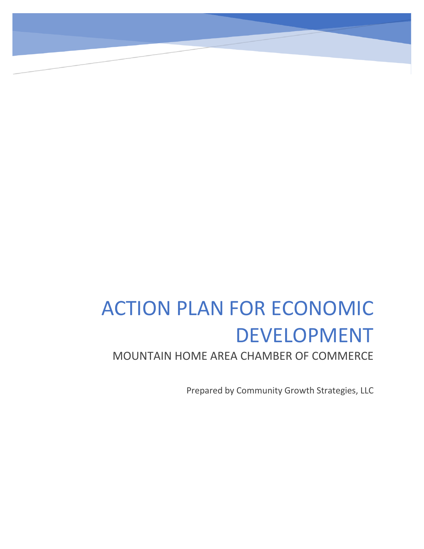# ACTION PLAN FOR ECONOMIC DEVELOPMENT

MOUNTAIN HOME AREA CHAMBER OF COMMERCE

Prepared by Community Growth Strategies, LLC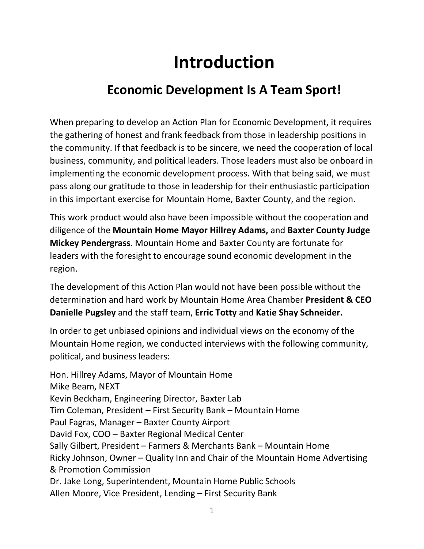## **Introduction**

## **Economic Development Is A Team Sport!**

When preparing to develop an Action Plan for Economic Development, it requires the gathering of honest and frank feedback from those in leadership positions in the community. If that feedback is to be sincere, we need the cooperation of local business, community, and political leaders. Those leaders must also be onboard in implementing the economic development process. With that being said, we must pass along our gratitude to those in leadership for their enthusiastic participation in this important exercise for Mountain Home, Baxter County, and the region.

This work product would also have been impossible without the cooperation and diligence of the **Mountain Home Mayor Hillrey Adams,** and **Baxter County Judge Mickey Pendergrass**. Mountain Home and Baxter County are fortunate for leaders with the foresight to encourage sound economic development in the region.

The development of this Action Plan would not have been possible without the determination and hard work by Mountain Home Area Chamber **President & CEO Danielle Pugsley** and the staff team, **Erric Totty** and **Katie Shay Schneider.**

In order to get unbiased opinions and individual views on the economy of the Mountain Home region, we conducted interviews with the following community, political, and business leaders:

Hon. Hillrey Adams, Mayor of Mountain Home Mike Beam, NEXT Kevin Beckham, Engineering Director, Baxter Lab Tim Coleman, President – First Security Bank – Mountain Home Paul Fagras, Manager – Baxter County Airport David Fox, COO – Baxter Regional Medical Center Sally Gilbert, President – Farmers & Merchants Bank – Mountain Home Ricky Johnson, Owner – Quality Inn and Chair of the Mountain Home Advertising & Promotion Commission Dr. Jake Long, Superintendent, Mountain Home Public Schools Allen Moore, Vice President, Lending – First Security Bank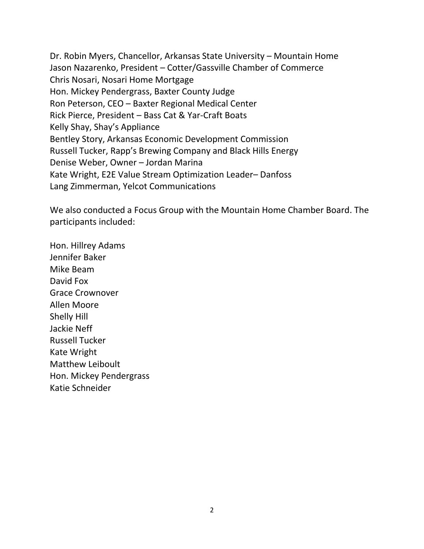Dr. Robin Myers, Chancellor, Arkansas State University – Mountain Home Jason Nazarenko, President – Cotter/Gassville Chamber of Commerce Chris Nosari, Nosari Home Mortgage Hon. Mickey Pendergrass, Baxter County Judge Ron Peterson, CEO – Baxter Regional Medical Center Rick Pierce, President – Bass Cat & Yar-Craft Boats Kelly Shay, Shay's Appliance Bentley Story, Arkansas Economic Development Commission Russell Tucker, Rapp's Brewing Company and Black Hills Energy Denise Weber, Owner – Jordan Marina Kate Wright, E2E Value Stream Optimization Leader– Danfoss Lang Zimmerman, Yelcot Communications

We also conducted a Focus Group with the Mountain Home Chamber Board. The participants included:

Hon. Hillrey Adams Jennifer Baker Mike Beam David Fox Grace Crownover Allen Moore Shelly Hill Jackie Neff Russell Tucker Kate Wright Matthew Leiboult Hon. Mickey Pendergrass Katie Schneider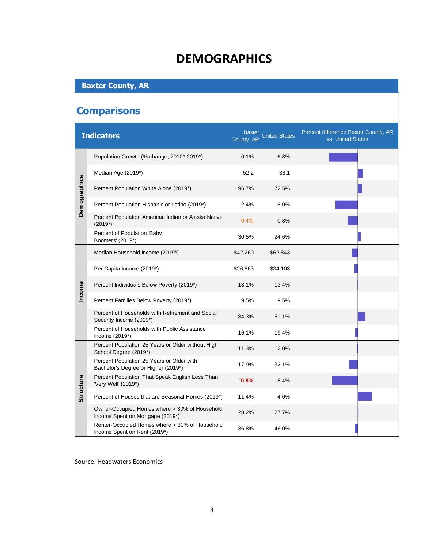### **DEMOGRAPHICS**

#### **Baxter County, AR**

### **Comparisons**

|              | <b>Indicators</b>                                                                 | County, AR | Baxter<br>United States | Percent difference Baxter County, AR<br>vs. United States |
|--------------|-----------------------------------------------------------------------------------|------------|-------------------------|-----------------------------------------------------------|
| Demographics | Population Growth (% change, 2010*-2019*)                                         | 0.1%       | 6.8%                    |                                                           |
|              | Median Age (2019*)                                                                | 52.2       | 38.1                    |                                                           |
|              | Percent Population White Alone (2019*)                                            | 96.7%      | 72.5%                   |                                                           |
|              | Percent Population Hispanic or Latino (2019*)                                     | 2.4%       | 18.0%                   |                                                           |
|              | Percent Population American Indian or Alaska Native<br>$(2019^*)$                 | $0.4\%$    | 0.8%                    |                                                           |
|              | Percent of Population 'Baby<br>Boomers' (2019*)                                   | 30.5%      | 24.6%                   |                                                           |
| Income       | Median Household Income (2019*)                                                   | \$42,260   | \$62,843                |                                                           |
|              | Per Capita Income (2019*)                                                         | \$26,863   | \$34,103                |                                                           |
|              | Percent Individuals Below Poverty (2019*)                                         | 13.1%      | 13.4%                   |                                                           |
|              | Percent Families Below Poverty (2019*)                                            | 9.5%       | 9.5%                    |                                                           |
|              | Percent of Households with Retirement and Social<br>Security Income (2019*)       | 84.3%      | 51.1%                   |                                                           |
|              | Percent of Households with Public Assistance<br>Income (2019*)                    | 16.1%      | 19.4%                   |                                                           |
| Structure    | Percent Population 25 Years or Older without High<br>School Degree (2019*)        | 11.3%      | 12.0%                   |                                                           |
|              | Percent Population 25 Years or Older with<br>Bachelor's Degree or Higher (2019*)  | 17.9%      | 32.1%                   |                                                           |
|              | Percent Population That Speak English Less Than<br>'Very Well' (2019*)            | $"0.6\%$   | 8.4%                    |                                                           |
|              | Percent of Houses that are Seasonal Homes (2019*)                                 | 11.4%      | 4.0%                    |                                                           |
|              | Owner-Occupied Homes where > 30% of Household<br>Income Spent on Mortgage (2019*) | 28.2%      | 27.7%                   |                                                           |
|              | Renter-Occupied Homes where > 30% of Household<br>Income Spent on Rent (2019*)    | 36.8%      | 46.0%                   |                                                           |

Source: Headwaters Economics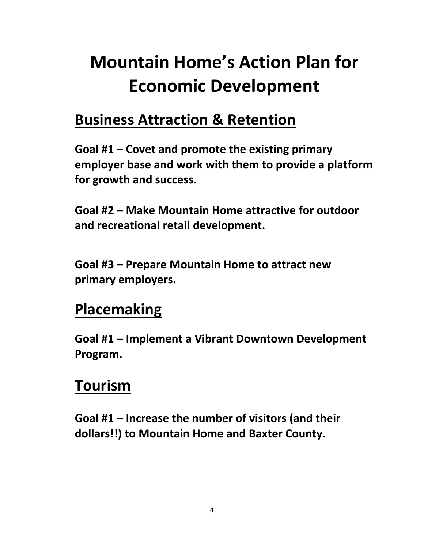## **Mountain Home's Action Plan for Economic Development**

## **Business Attraction & Retention**

**Goal #1 – Covet and promote the existing primary employer base and work with them to provide a platform for growth and success.**

**Goal #2 – Make Mountain Home attractive for outdoor and recreational retail development.**

**Goal #3 – Prepare Mountain Home to attract new primary employers.**

## **Placemaking**

**Goal #1 – Implement a Vibrant Downtown Development Program.**

## **Tourism**

**Goal #1 – Increase the number of visitors (and their dollars!!) to Mountain Home and Baxter County.**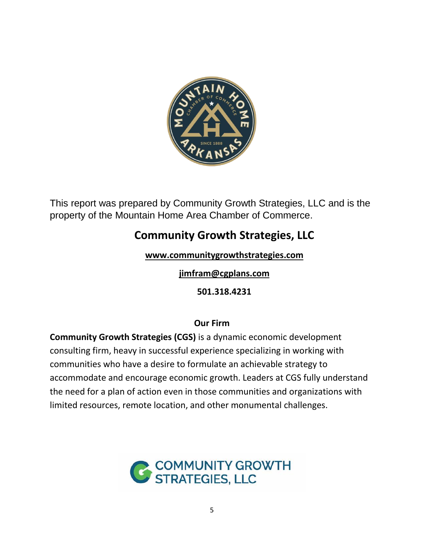

This report was prepared by Community Growth Strategies, LLC and is the property of the Mountain Home Area Chamber of Commerce.

### **Community Growth Strategies, LLC**

**[www.communitygrowthstrategies.com](http://www.communitygrowthstrategies.com/)**

**[jimfram@cgplans.com](mailto:jimfram@cgplans.com)**

**501.318.4231**

#### **Our Firm**

**Community Growth Strategies (CGS)** is a dynamic economic development consulting firm, heavy in successful experience specializing in working with communities who have a desire to formulate an achievable strategy to accommodate and encourage economic growth. Leaders at CGS fully understand the need for a plan of action even in those communities and organizations with limited resources, remote location, and other monumental challenges.

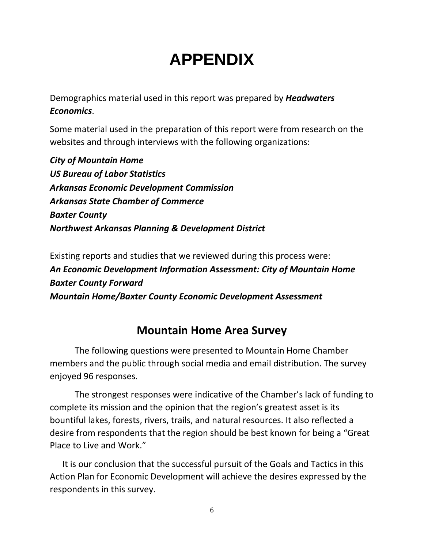## **APPENDIX**

Demographics material used in this report was prepared by *Headwaters Economics*.

Some material used in the preparation of this report were from research on the websites and through interviews with the following organizations:

*City of Mountain Home US Bureau of Labor Statistics Arkansas Economic Development Commission Arkansas State Chamber of Commerce Baxter County Northwest Arkansas Planning & Development District*

Existing reports and studies that we reviewed during this process were: *An Economic Development Information Assessment: City of Mountain Home Baxter County Forward Mountain Home/Baxter County Economic Development Assessment*

#### **Mountain Home Area Survey**

The following questions were presented to Mountain Home Chamber members and the public through social media and email distribution. The survey enjoyed 96 responses.

The strongest responses were indicative of the Chamber's lack of funding to complete its mission and the opinion that the region's greatest asset is its bountiful lakes, forests, rivers, trails, and natural resources. It also reflected a desire from respondents that the region should be best known for being a "Great Place to Live and Work."

It is our conclusion that the successful pursuit of the Goals and Tactics in this Action Plan for Economic Development will achieve the desires expressed by the respondents in this survey.